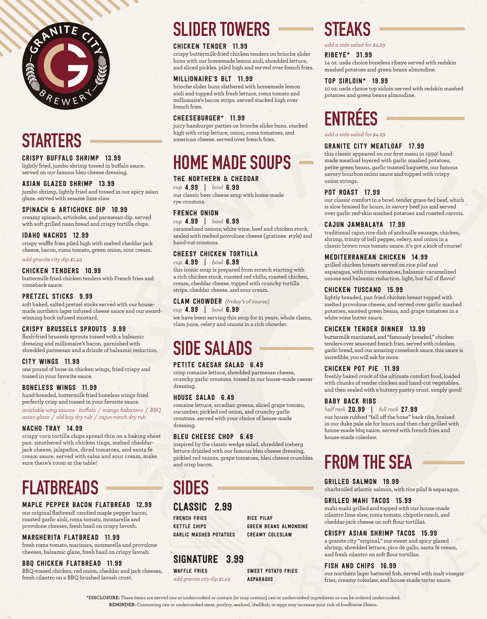

# **STARTERS**

#### CRISPY BUFFALO SHRIMP 13.99

lightly fried, jumbo shrimp tossed in buffalo sauce. served on our famous bleu cheese dressing.

#### ASIAN GLAZED SHRIMP 13.99

jumbo shrimp, lightly fried and tossed in our spicy asian glaze. served with sesame lime slaw.

#### SPINACH & ARTICHOKE DIP 10.99

creamy spinach, artichoke, and parmesan dip. served with soft grilled naan bread and crispy tortilla chips.

#### IDAHO NACHOS 12.99

crispy waffle fries piled high with melted cheddar jack cheese, bacon, roma tomato, green onion, sour cream.

*add granite city dip \$1.49*

#### CHICKEN TENDERS 10.99

buttermilk-fried chicken tenders with French fries and comeback sauce.

#### PRETZEL STICKS 9.99

soft baked, salted pretzel sticks served with our housemade northern lager infused cheese sauce and our awardwinning bock infused mustard.

#### CRISPY BRUSSELS SPROUTS 9.99

flash-fried brussels sprouts tossed with a balsamic dressing and millionaire's bacon. garnished with shredded parmesan and a drizzle of balsamic reduction.

#### CITY WINGS 11.99

one pound of bone-in chicken wings, fried crispy and tossed in your favorite sauce.

#### BONELESS WINGS 11.99

hand-breaded, buttermilk fried boneless wings fried perfectly crisp and tossed in your favorite sauce.

*available wing sauces: buffalo / mango habanero / BBQ asian glaze / old bay dry rub / cajun-ranch dry rub*

#### NACHO TRAY 14.99

crispy corn tortilla chips spread thin on a baking sheet pan. smothered with chicken tinga, melted cheddarjack cheese, jalapeños, diced tomatoes, and santa fe cream sauce. served with salsa and sour cream. make sure there's room at the table!

# **FLATBREADS**

### MAPLE PEPPER BACON FLATBREAD 12.99

our original flatbread! candied maple pepper bacon, roasted garlic aioli, roma tomato, mozzarella and provolone cheeses, fresh basil on crispy lavosh.

### MARGHERITA FLATBREAD 11.99

fresh roma tomato, marinara, mozzarella and provolone cheeses, balsamic glaze, fresh basil on crispy lavosh.

BBQ CHICKEN FLATBREAD 11.99 BBQ-tossed chicken, red onion, cheddar and jack cheeses, fresh cilantro on a BBQ brushed lavosh crust.

# **SLIDER TOWERS**

### CHICKEN TENDER 11.99

crispy buttermilk-fried chicken tenders on brioche slider buns with our homemade lemon aioli, shredded lettuce, and sliced pickles. piled high and served over french fries.

#### MILLIONAIRE'S BLT 11.99

brioche slider buns slathered with homemade lemon aioli and topped with fresh lettuce, roma tomato and millionaire's bacon strips. served stacked high over french fries.

#### CHEESEBURGER\* 11.99

juicy hamburger patties on brioche slider buns. stacked high with crisp lettuce, onion, roma tomatoes, and american cheese. served over french fries.

# **HOME MADE SOUPS**

### THE NORTHERN & CHEDDAR

*cup* 4.99 | *bowl* 6.99 our classic beer cheese soup with home-made rye croutons.

### FRENCH ONION

*cup* 4.99 | *bowl* 6.99

caramelized onions, white wine, beef and chicken stock, sealed with melted provolone cheese (gratinee style) and hand-cut croutons.

### CHEESY CHICKEN TORTILLA

#### *cup* 4.99 | *bowl* 6.99

this iconic soup is prepared from scratch starting with a rich chicken stock, roasted red chilis, roasted chicken, cream, cheddar cheese. topped with crunchy tortilla strips, cheddar cheese, and sour cream.

#### CLAM CHOWDER *(friday's of course)*

#### *cup* 4.99 | *bowl* 6.99

we have been serving this soup for 21 years. whole clams, clam juice, celery and onions in a rich chowder.

# **SIDE SALADS**

#### PETITE CAESAR SALAD 6.49

crisp romaine lettuce, shredded parmesan cheese, crunchy garlic croutons. tossed in our house-made caesar dressing.

#### HOUSE SALAD 6.49

romaine lettuce, arcadian greens, sliced grape tomato, cucumber, pickled red onion, and crunchy garlic croutons. served with your choice of house-made dressing.

#### BLEU CHEESE CHOP 6.49

inspired by the classic wedge salad. shredded iceberg lettuce drizzled with our famous bleu cheese dressing, pickled red onions, grape tomatoes, bleu cheese crumbles and crisp bacon.

# **SIDES**

### CLASSIC 2.99

FRENCH FRIES KETTLE CHIPS GARLIC MASHED POTATOES RICE PILAF GREEN BEANS ALMONDINE CREAMY COLESLAW

### SIGNATURE 3.99

WAFFLE FRIES *add granite city dip \$1.49* SWEET POTATO FRIES ASPARAGUS

## **STEAKS**

*add a side salad for \$4.29*

#### RIBEYE\* 31.99

14 oz. usda choice boneless ribeye served with redskin mashed potatoes and green beans almondine.

#### TOP SIRLOIN\* 19.99

10 oz. usda choice top sirloin served with redskin mashed potatoes and green beans almondine.

# **ENTRÉES**

*add a side salad for \$4.29*

#### GRANITE CITY MEATLOAF 17.99

this classic appeared on our first menu in 1999! handmade meatloaf layered with garlic mashed potatoes, petite green beans, garlic toasted baguette, our famous savory bourbon onion sauce and topped with crispy onion strings.

#### POT ROAST 17.99

our classic comfort in a bowl. tender grass-fed beef, which is slow braised for hours, in savory beef jus and served over garlic red-skin mashed potatoes and roasted carrots.

#### CAJUN JAMBALAYA 17.99

traditional cajun rice dish of andouille sausage, chicken, shrimp, trinity of bell pepper, celery, and onion in a classic brown roux tomato sauce. it's got a kick of course!

#### MEDITERRANEAN CHICKEN 14.99

grilled chicken breasts served on rice pilaf and asparagus, with roma tomatoes, balsamic caramelized onions and balsamic reduction. light, but full of flavor!

### CHICKEN TUSCANO 15.99

lightly breaded, pan fried chicken breast topped with melted provolone cheese, and served over garlic mashed potatoes, sautéed green beans, and grape tomatoes in a white wine butter sauce.

### CHICKEN TENDER DINNER 13.99

buttermilk marinated, and "famously breaded," chicken tenders over seasoned french fries. served with coleslaw, garlic bread, and our amazing comeback sauce. this sauce is incredible, you will ask for more.

### CHICKEN POT PIE 11.99

freshly baked crock of the ultimate comfort food, loaded with chunks of tender chicken and hand-cut vegetables, and then sealed with a buttery pastry crust. simply good!

#### BABY BACK RIBS

house-made coleslaw.

*half rack* 20.99 | *full rack* 27.99 our house rubbed "fall off the bone" back ribs, braised in our duke pale ale for hours and then char grilled with house-made bbq sauce. served with french fries and

# **FROM THE SEA**

#### GRILLED SALMON 19.99

charbroiled atlantic salmon, with rice pilaf & asparagus.

#### GRILLED MAHI TACOS 15.99

mahi-mahi grilled and topped with our house-made cilantro lime slaw, roma tomato, chipotle ranch, and cheddar-jack cheese on soft flour tortillas.

#### CRISPY ASIAN SHRIMP TACOS 15.99

a granite city "original," our sweet and spicy glazed shrimp, shredded lettuce, pico de gallo, santa fé cream, and fresh cilantro on soft flour tortillas.

#### FISH AND CHIPS 16.99

our northern lager battered fish, served with malt vinegar fries, creamy coleslaw, and house-made tartar sauce.

**\*DISCLOSURE:** These items are served raw or undercooked or contain (or may contain) raw or undercooked ingredients or can be ordered undercooked. **REMINDER:** Consuming raw or undercooked meat, poultry, seafood, shellfish, or eggs may increase your risk of foodborne illness.